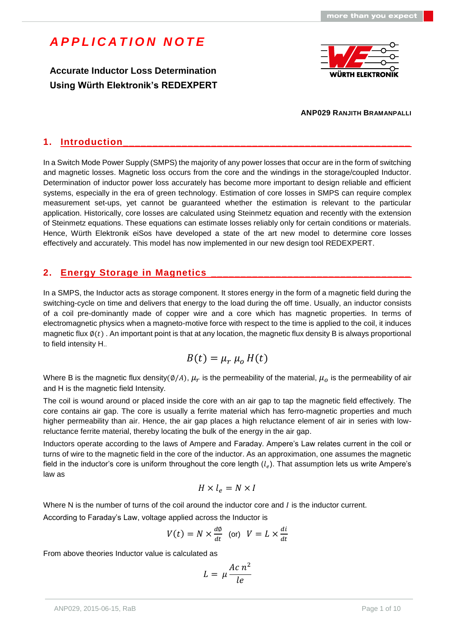**Accurate Inductor Loss Determination Using Würth Elektronik's REDEXPERT**



#### **ANP029 RANJITH BRAMANPALLI**

### **1. Introduction\_\_\_\_\_\_\_\_\_\_\_\_\_\_\_\_\_\_\_\_\_\_\_\_\_\_\_\_\_\_\_\_\_\_\_\_\_\_\_\_\_\_\_\_\_\_\_\_\_**

In a Switch Mode Power Supply (SMPS) the majority of any power losses that occur are in the form of switching and magnetic losses. Magnetic loss occurs from the core and the windings in the storage/coupled Inductor. Determination of inductor power loss accurately has become more important to design reliable and efficient systems, especially in the era of green technology. Estimation of core losses in SMPS can require complex measurement set-ups, yet cannot be guaranteed whether the estimation is relevant to the particular application. Historically, core losses are calculated using Steinmetz equation and recently with the extension of Steinmetz equations. These equations can estimate losses reliably only for certain conditions or materials. Hence, Würth Elektronik eiSos have developed a state of the art new model to determine core losses effectively and accurately. This model has now implemented in our new design tool REDEXPERT.

#### **2. Energy Storage in Magnetics \_\_\_\_\_\_\_\_\_\_\_\_\_\_\_\_\_\_\_\_\_\_\_\_\_\_\_\_\_\_\_\_\_\_**

In a SMPS, the Inductor acts as storage component. It stores energy in the form of a magnetic field during the switching-cycle on time and delivers that energy to the load during the off time. Usually, an inductor consists of a coil pre-dominantly made of copper wire and a core which has magnetic properties. In terms of electromagnetic physics when a magneto-motive force with respect to the time is applied to the coil, it induces magnetic flux  $\phi(t)$ . An important point is that at any location, the magnetic flux density B is always proportional to field intensity H..

$$
B(t) = \mu_r \mu_o H(t)
$$

Where B is the magnetic flux density(Ø/A),  $\mu_r$  is the permeability of the material,  $\mu_o$  is the permeability of air and H is the magnetic field Intensity.

The coil is wound around or placed inside the core with an air gap to tap the magnetic field effectively. The core contains air gap. The core is usually a ferrite material which has ferro-magnetic properties and much higher permeability than air. Hence, the air gap places a high reluctance element of air in series with lowreluctance ferrite material, thereby locating the bulk of the energy in the air gap.

Inductors operate according to the laws of Ampere and Faraday. Ampere's Law relates current in the coil or turns of wire to the magnetic field in the core of the inductor. As an approximation, one assumes the magnetic field in the inductor's core is uniform throughout the core length  $(l_e)$ . That assumption lets us write Ampere's law as

$$
H\times l_e=N\times I
$$

Where N is the number of turns of the coil around the inductor core and I is the inductor current.

According to Faraday's Law, voltage applied across the Inductor is

$$
V(t) = N \times \frac{d\phi}{dt} \quad \text{(or)} \quad V = L \times \frac{di}{dt}
$$

From above theories Inductor value is calculated as

$$
L = \mu \frac{Ac n^2}{le}
$$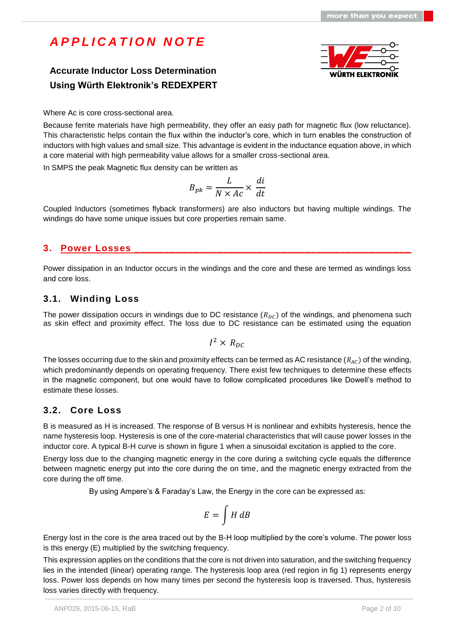## **Accurate Inductor Loss Determination Using Würth Elektronik's REDEXPERT**



Where Ac is core cross-sectional area.

Because ferrite materials have high permeability, they offer an easy path for magnetic flux (low reluctance). This characteristic helps contain the flux within the inductor's core, which in turn enables the construction of inductors with high values and small size. This advantage is evident in the inductance equation above, in which a core material with high permeability value allows for a smaller cross-sectional area.

In SMPS the peak Magnetic flux density can be written as

$$
B_{pk} = \frac{L}{N \times Ac} \times \frac{di}{dt}
$$

Coupled Inductors (sometimes flyback transformers) are also inductors but having multiple windings. The windings do have some unique issues but core properties remain same.

### **3. Power Losses \_\_\_\_\_\_\_\_\_\_\_\_\_\_\_\_\_\_\_\_\_\_\_\_\_\_\_\_\_\_\_\_\_\_\_\_\_\_\_\_\_\_\_\_\_\_\_**

Power dissipation in an Inductor occurs in the windings and the core and these are termed as windings loss and core loss.

### **3.1. Winding Loss**

The power dissipation occurs in windings due to DC resistance  $(R_{nc})$  of the windings, and phenomena such as skin effect and proximity effect. The loss due to DC resistance can be estimated using the equation

$$
I^2\times\,R_{DC}
$$

The losses occurring due to the skin and proximity effects can be termed as AC resistance  $(R_{AC})$  of the winding, which predominantly depends on operating frequency. There exist few techniques to determine these effects in the magnetic component, but one would have to follow complicated procedures like Dowell's method to estimate these losses.

### **3.2. Core Loss**

B is measured as H is increased. The response of B versus H is nonlinear and exhibits hysteresis, hence the name hysteresis loop. Hysteresis is one of the core-material characteristics that will cause power losses in the inductor core. A typical B-H curve is shown in figure 1 when a sinusoidal excitation is applied to the core.

Energy loss due to the changing magnetic energy in the core during a switching cycle equals the difference between magnetic energy put into the core during the on time, and the magnetic energy extracted from the core during the off time.

By using Ampere's & Faraday's Law, the Energy in the core can be expressed as:

$$
E = \int H \, dB
$$

Energy lost in the core is the area traced out by the B-H loop multiplied by the core's volume. The power loss is this energy (E) multiplied by the switching frequency.

This expression applies on the conditions that the core is not driven into saturation, and the switching frequency lies in the intended (linear) operating range. The hysteresis loop area (red region in fig 1) represents energy loss. Power loss depends on how many times per second the hysteresis loop is traversed. Thus, hysteresis loss varies directly with frequency.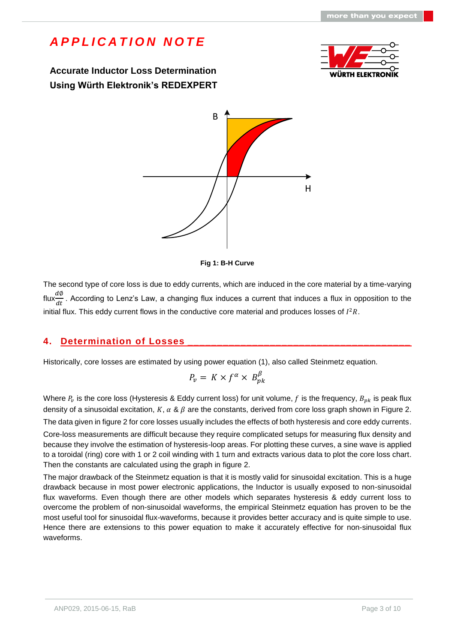**Accurate Inductor Loss Determination Using Würth Elektronik's REDEXPERT**







The second type of core loss is due to eddy currents, which are induced in the core material by a time-varying flux $\frac{d\phi}{dt}$ . According to Lenz's Law, a changing flux induces a current that induces a flux in opposition to the initial flux. This eddy current flows in the conductive core material and produces losses of  $I^2R$ .

### **4. Determination of Losses \_\_\_\_\_\_\_\_\_\_\_\_\_\_\_\_\_\_\_\_\_\_\_\_\_\_\_\_\_\_\_\_\_\_\_\_\_\_**

Historically, core losses are estimated by using power equation (1), also called Steinmetz equation.

$$
P_v = K \times f^{\alpha} \times B_{pk}^{\beta}
$$

Where  $P_v$  is the core loss (Hysteresis & Eddy current loss) for unit volume,  $f$  is the frequency,  $B_{pk}$  is peak flux density of a sinusoidal excitation, K,  $\alpha$  &  $\beta$  are the constants, derived from core loss graph shown in Figure 2. The data given in figure 2 for core losses usually includes the effects of both hysteresis and core eddy currents.

Core-loss measurements are difficult because they require complicated setups for measuring flux density and because they involve the estimation of hysteresis-loop areas. For plotting these curves, a sine wave is applied to a toroidal (ring) core with 1 or 2 coil winding with 1 turn and extracts various data to plot the core loss chart. Then the constants are calculated using the graph in figure 2.

The major drawback of the Steinmetz equation is that it is mostly valid for sinusoidal excitation. This is a huge drawback because in most power electronic applications, the Inductor is usually exposed to non-sinusoidal flux waveforms. Even though there are other models which separates hysteresis & eddy current loss to overcome the problem of non-sinusoidal waveforms, the empirical Steinmetz equation has proven to be the most useful tool for sinusoidal flux-waveforms, because it provides better accuracy and is quite simple to use. Hence there are extensions to this power equation to make it accurately effective for non-sinusoidal flux waveforms.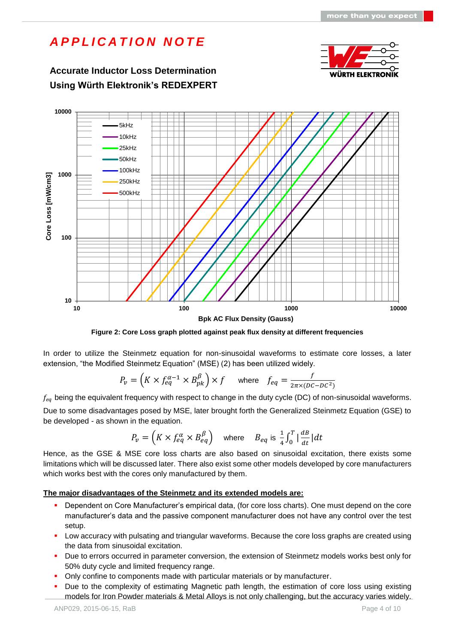# **Accurate Inductor Loss Determination** WÜRTH ELEKTRON **Using Würth Elektronik's REDEXPERT 10000** 5kHz 10kHz 25kHz 50kHz 100kHz **1000** Core Loss [mW/cm3] **Core Loss [mW/cm3]** 250kHz 500kHz**100 10 10 100 1000 10000 Bpk AC Flux Density (Gauss)**

*A P P L I C A T I O N N O T E*

**Figure 2: Core Loss graph plotted against peak flux density at different frequencies**

In order to utilize the Steinmetz equation for non-sinusoidal waveforms to estimate core losses, a later extension, "the Modified Steinmetz Equation" (MSE) (2) has been utilized widely.

$$
P_v = \left(K \times f_{eq}^{\alpha - 1} \times B_{pk}^{\beta}\right) \times f \quad \text{where} \quad f_{eq} = \frac{f}{2\pi \times (DC - DC^2)}
$$

 $f_{eq}$  being the equivalent frequency with respect to change in the duty cycle (DC) of non-sinusoidal waveforms.

Due to some disadvantages posed by MSE, later brought forth the Generalized Steinmetz Equation (GSE) to be developed - as shown in the equation.

$$
P_v = \left(K \times f_{eq}^{\alpha} \times B_{eq}^{\beta}\right) \quad \text{where} \quad B_{eq} \text{ is } \frac{1}{4} \int_0^T \left|\frac{dB}{dt}\right| dt
$$

Hence, as the GSE & MSE core loss charts are also based on sinusoidal excitation, there exists some limitations which will be discussed later. There also exist some other models developed by core manufacturers which works best with the cores only manufactured by them.

#### **The major disadvantages of the Steinmetz and its extended models are:**

- Dependent on Core Manufacturer's empirical data, (for core loss charts). One must depend on the core manufacturer's data and the passive component manufacturer does not have any control over the test setup.
- **Low accuracy with pulsating and triangular waveforms. Because the core loss graphs are created using** the data from sinusoidal excitation.
- Due to errors occurred in parameter conversion, the extension of Steinmetz models works best only for 50% duty cycle and limited frequency range.
- Only confine to components made with particular materials or by manufacturer.
- Due to the complexity of estimating Magnetic path length, the estimation of core loss using existing models for Iron Powder materials & Metal Alloys is not only challenging, but the accuracy varies widely.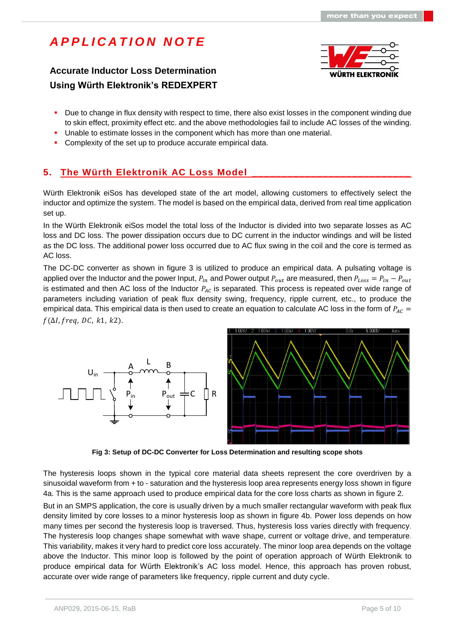## **Accurate Inductor Loss Determination Using Würth Elektronik's REDEXPERT**



- Due to change in flux density with respect to time, there also exist losses in the component winding due to skin effect, proximity effect etc. and the above methodologies fail to include AC losses of the winding.
- Unable to estimate losses in the component which has more than one material.
- Complexity of the set up to produce accurate empirical data.

## **5. The Würth Elektronik AC Loss Model \_\_\_\_\_\_\_\_\_\_\_\_\_\_\_\_\_\_\_\_\_\_\_\_\_\_\_**

Würth Elektronik eiSos has developed state of the art model, allowing customers to effectively select the inductor and optimize the system. The model is based on the empirical data, derived from real time application set up.

In the Würth Elektronik eiSos model the total loss of the Inductor is divided into two separate losses as AC loss and DC loss. The power dissipation occurs due to DC current in the inductor windings and will be listed as the DC loss. The additional power loss occurred due to AC flux swing in the coil and the core is termed as AC loss.

The DC-DC converter as shown in figure 3 is utilized to produce an empirical data. A pulsating voltage is applied over the Inductor and the power Input,  $P_{in}$  and Power output  $P_{out}$  are measured, then  $P_{Loss} = P_{in} - P_{out}$ is estimated and then AC loss of the Inductor  $P_{AC}$  is separated. This process is repeated over wide range of parameters including variation of peak flux density swing, frequency, ripple current, etc., to produce the empirical data. This empirical data is then used to create an equation to calculate AC loss in the form of  $P_{AC}$  =  $f(\Delta l, freq, DC, k1, k2).$ 





**Fig 3: Setup of DC-DC Converter for Loss Determination and resulting scope shots**

The hysteresis loops shown in the typical core material data sheets represent the core overdriven by a sinusoidal waveform from + to - saturation and the hysteresis loop area represents energy loss shown in figure 4a. This is the same approach used to produce empirical data for the core loss charts as shown in figure 2.

But in an SMPS application, the core is usually driven by a much smaller rectangular waveform with peak flux density limited by core losses to a minor hysteresis loop as shown in figure 4b. Power loss depends on how many times per second the hysteresis loop is traversed. Thus, hysteresis loss varies directly with frequency. The hysteresis loop changes shape somewhat with wave shape, current or voltage drive, and temperature. This variability, makes it very hard to predict core loss accurately. The minor loop area depends on the voltage above the Inductor. This minor loop is followed by the point of operation approach of Würth Elektronik to produce empirical data for Würth Elektronik's AC loss model. Hence, this approach has proven robust, accurate over wide range of parameters like frequency, ripple current and duty cycle.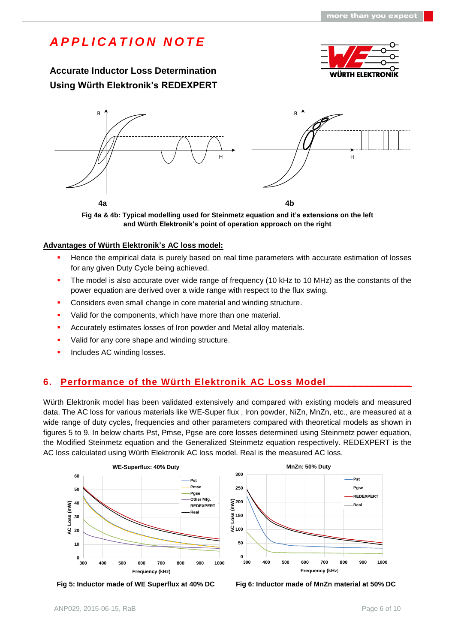## **Accurate Inductor Loss Determination Using Würth Elektronik's REDEXPERT**





**Fig 4a & 4b: Typical modelling used for Steinmetz equation and it's extensions on the left and Würth Elektronik's point of operation approach on the right**

#### **Advantages of Würth Elektronik's AC loss model:**

- **Hence the empirical data is purely based on real time parameters with accurate estimation of losses** for any given Duty Cycle being achieved.
- The model is also accurate over wide range of frequency (10 kHz to 10 MHz) as the constants of the power equation are derived over a wide range with respect to the flux swing.
- **Considers even small change in core material and winding structure.**
- Valid for the components, which have more than one material.
- **Accurately estimates losses of Iron powder and Metal alloy materials.**
- Valid for any core shape and winding structure.
- **Includes AC winding losses.**

### **6. Performance of the Würth Elektronik AC Loss Model \_\_\_\_\_\_\_\_\_\_\_\_\_\_**

Würth Elektronik model has been validated extensively and compared with existing models and measured data. The AC loss for various materials like WE-Super flux , Iron powder, NiZn, MnZn, etc., are measured at a wide range of duty cycles, frequencies and other parameters compared with theoretical models as shown in figures 5 to 9. In below charts Pst, Pmse, Pgse are core losses determined using Steinmetz power equation, the Modified Steinmetz equation and the Generalized Steinmetz equation respectively. REDEXPERT is the AC loss calculated using Würth Elektronik AC loss model. Real is the measured AC loss.





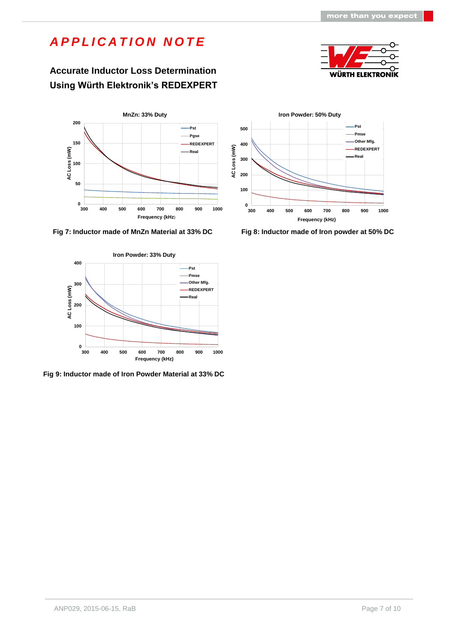## **Accurate Inductor Loss Determination Using Würth Elektronik's REDEXPERT**





 **Fig 7: Inductor made of MnZn Material at 33% DC Fig 8: Inductor made of Iron powder at 50% DC**



**Fig 9: Inductor made of Iron Powder Material at 33% DC**

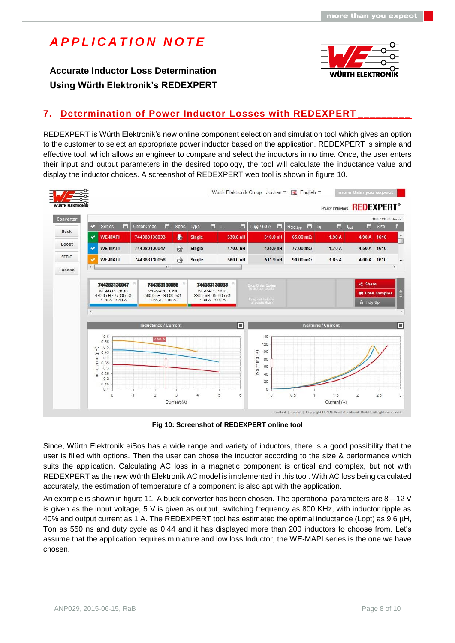**Accurate Inductor Loss Determination Using Würth Elektronik's REDEXPERT**



## **7. Determination of Power Inductor Losses with REDEXPERT \_\_\_\_\_\_\_\_\_**

REDEXPERT is Würth Elektronik's new online component selection and simulation tool which gives an option to the customer to select an appropriate power inductor based on the application. REDEXPERT is simple and effective tool, which allows an engineer to compare and select the inductors in no time. Once, the user enters their input and output parameters in the desired topology, the tool will calculate the inductance value and display the inductor choices. A screenshot of REDEXPERT web tool is shown in figure 10.



**Fig 10: Screenshot of REDEXPERT online tool**

Since, Würth Elektronik eiSos has a wide range and variety of inductors, there is a good possibility that the user is filled with options. Then the user can chose the inductor according to the size & performance which suits the application. Calculating AC loss in a magnetic component is critical and complex, but not with REDEXPERT as the new Würth Elektronik AC model is implemented in this tool. With AC loss being calculated accurately, the estimation of temperature of a component is also apt with the application.

An example is shown in figure 11. A buck converter has been chosen. The operational parameters are 8 – 12 V is given as the input voltage, 5 V is given as output, switching frequency as 800 KHz, with inductor ripple as 40% and output current as 1 A. The REDEXPERT tool has estimated the optimal inductance (Lopt) as 9.6 µH, Ton as 550 ns and duty cycle as 0.44 and it has displayed more than 200 inductors to choose from. Let's assume that the application requires miniature and low loss Inductor, the WE-MAPI series is the one we have chosen.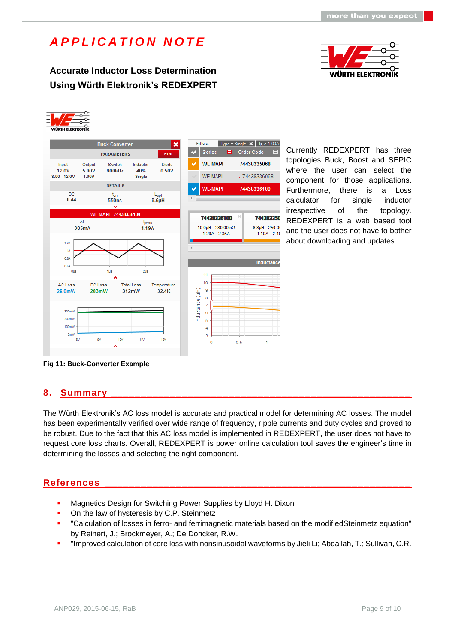**Accurate Inductor Loss Determination Using Würth Elektronik's REDEXPERT**







Currently REDEXPERT has three topologies Buck, Boost and SEPIC where the user can select the component for those applications. Furthermore, there is a Loss calculator for single inductor irrespective of the topology. REDEXPERT is a web based tool and the user does not have to bother about downloading and updates.

**Fig 11: Buck-Converter Example**

### **8. Summary \_\_\_\_\_\_\_\_\_\_\_\_\_\_\_\_\_\_\_\_\_\_\_\_\_\_\_\_\_\_\_\_\_\_\_\_\_\_\_\_\_\_\_\_\_\_\_\_\_\_\_**

The Würth Elektronik's AC loss model is accurate and practical model for determining AC losses. The model has been experimentally verified over wide range of frequency, ripple currents and duty cycles and proved to be robust. Due to the fact that this AC loss model is implemented in REDEXPERT, the user does not have to request core loss charts. Overall, REDEXPERT is power online calculation tool saves the engineer's time in determining the losses and selecting the right component.

### **References \_\_\_\_\_\_\_\_\_\_\_\_\_\_\_\_\_\_\_\_\_\_\_\_\_\_\_\_\_\_\_\_\_\_\_\_\_\_\_\_\_\_\_\_\_\_\_\_\_\_\_\_**

- **Magnetics Design for Switching Power Supplies by Lloyd H. Dixon**
- On the law of hysteresis by C.P. Steinmetz
- "Calculation of losses in ferro- and ferrimagnetic materials based on the modifiedSteinmetz equation" by Reinert, J.; Brockmeyer, A.; De Doncker, R.W.
- "Improved calculation of core loss with nonsinusoidal waveforms by Jieli Li; Abdallah, T.; Sullivan, C.R.